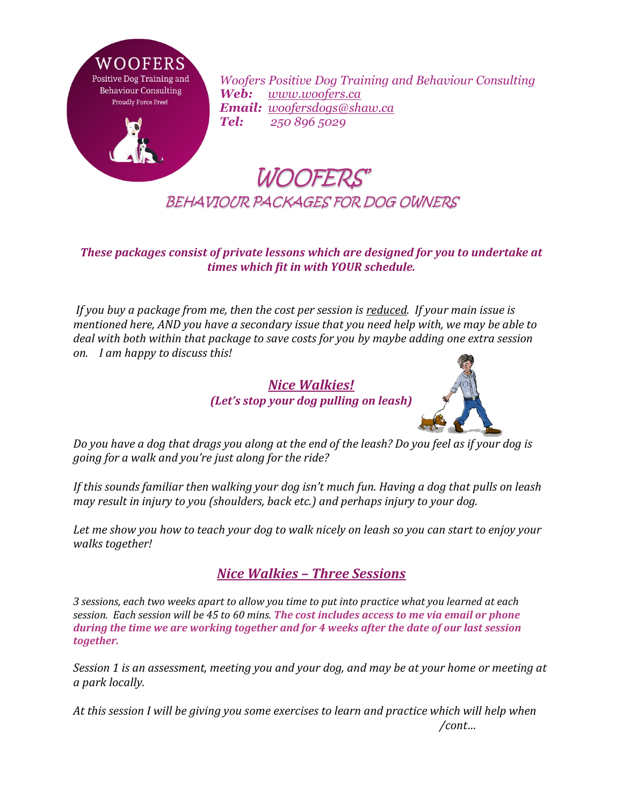

*Woofers Positive Dog Training and Behaviour Consulting Web: [www.woofers.ca](http://www.woofers.ca/) Email: [woofersdogs@shaw.ca](mailto:woofersdogs@shaw.ca) Tel: 250 896 5029*

## WOOFERS' BEHAVIOUR PACKAGES FOR DOG OWNERS

## *These packages consist of private lessons which are designed for you to undertake at times which fit in with YOUR schedule.*

*If you buy a package from me, then the cost per session is reduced. If your main issue is mentioned here, AND you have a secondary issue that you need help with, we may be able to deal with both within that package to save costs for you by maybe adding one extra session on. I am happy to discuss this!* 





*Do you have a dog that drags you along at the end of the leash? Do you feel as if your dog is going for a walk and you're just along for the ride?*

*If this sounds familiar then walking your dog isn't much fun. Having a dog that pulls on leash may result in injury to you (shoulders, back etc.) and perhaps injury to your dog.* 

*Let me show you how to teach your dog to walk nicely on leash so you can start to enjoy your walks together!*

## *Nice Walkies – Three Sessions*

*3 sessions, each two weeks apart to allow you time to put into practice what you learned at each session. Each session will be 45 to 60 mins. The cost includes access to me via email or phone during the time we are working together and for 4 weeks after the date of our last session together.*

*Session 1 is an assessment, meeting you and your dog, and may be at your home or meeting at a park locally.* 

*At this session I will be giving you some exercises to learn and practice which will help when /cont…*